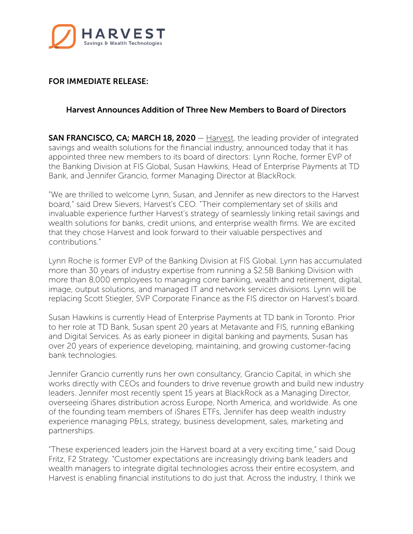

## FOR IMMEDIATE RELEASE:

## Harvest Announces Addition of Three New Members to Board of Directors

SAN FRANCISCO, CA; MARCH 18, 2020 – [Harvest](https://harvestsw.com/), the leading provider of integrated savings and wealth solutions for the financial industry, announced today that it has appointed three new members to its board of directors: Lynn Roche, former EVP of the Banking Division at FIS Global, Susan Hawkins, Head of Enterprise Payments at TD Bank, and Jennifer Grancio, former Managing Director at BlackRock.

"We are thrilled to welcome Lynn, Susan, and Jennifer as new directors to the Harvest board," said Drew Sievers, Harvest's CEO. "Their complementary set of skills and invaluable experience further Harvest's strategy of seamlessly linking retail savings and wealth solutions for banks, credit unions, and enterprise wealth firms. We are excited that they chose Harvest and look forward to their valuable perspectives and contributions."

Lynn Roche is former EVP of the Banking Division at FIS Global. Lynn has accumulated more than 30 years of industry expertise from running a \$2.5B Banking Division with more than 8,000 employees to managing core banking, wealth and retirement, digital, image, output solutions, and managed IT and network services divisions. Lynn will be replacing Scott Stiegler, SVP Corporate Finance as the FIS director on Harvest's board.

Susan Hawkins is currently Head of Enterprise Payments at TD bank in Toronto. Prior to her role at TD Bank, Susan spent 20 years at Metavante and FIS, running eBanking and Digital Services. As as early pioneer in digital banking and payments, Susan has over 20 years of experience developing, maintaining, and growing customer-facing bank technologies.

Jennifer Grancio currently runs her own consultancy, Grancio Capital, in which she works directly with CEOs and founders to drive revenue growth and build new industry leaders. Jennifer most recently spent 15 years at BlackRock as a Managing Director, overseeing iShares distribution across Europe, North America, and worldwide. As one of the founding team members of iShares ETFs, Jennifer has deep wealth industry experience managing P&Ls, strategy, business development, sales, marketing and partnerships.

"These experienced leaders join the Harvest board at a very exciting time," said Doug Fritz, F2 Strategy. "Customer expectations are increasingly driving bank leaders and wealth managers to integrate digital technologies across their entire ecosystem, and Harvest is enabling financial institutions to do just that. Across the industry, I think we